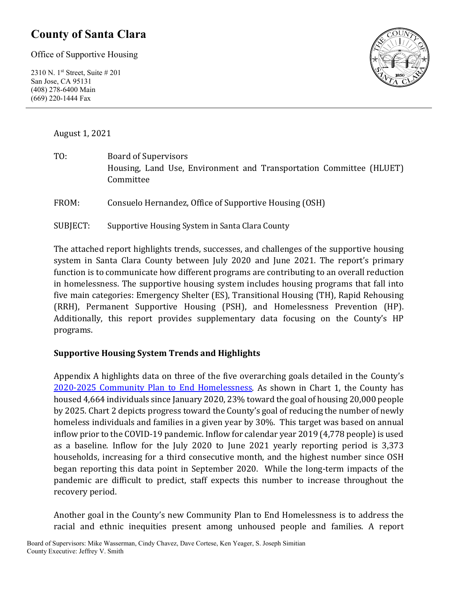### **County of Santa Clara**

Office of Supportive Housing

2310 N. 1st Street, Suite # 201 San Jose, CA 95131 (408) 278-6400 Main (669) 220-1444 Fax



August 1, 2021

TO: Board of Supervisors Housing, Land Use, Environment and Transportation Committee (HLUET) Committee

FROM: Consuelo Hernandez, Office of Supportive Housing (OSH)

SUBJECT: Supportive Housing System in Santa Clara County

The attached report highlights trends, successes, and challenges of the supportive housing system in Santa Clara County between July 2020 and June 2021. The report's primary function is to communicate how different programs are contributing to an overall reduction in homelessness. The supportive housing system includes housing programs that fall into five main categories: Emergency Shelter (ES), Transitional Housing (TH), Rapid Rehousing (RRH), Permanent Supportive Housing (PSH), and Homelessness Prevention (HP). Additionally, this report provides supplementary data focusing on the County's HP programs.

#### **Supportive Housing System Trends and Highlights**

Appendix A highlights data on three of the five overarching goals detailed in the County's [2020-2025 Community Plan to End Homelessness.](https://www.sccgov.org/sites/yes/takeaction/Pages/2020-Santa-Clara-County-Community-Plan-to-End-Homelessness-.aspx) As shown in Chart 1, the County has housed 4,664 individuals since January 2020, 23% toward the goal of housing 20,000 people by 2025. Chart 2 depicts progress toward the County's goal of reducing the number of newly homeless individuals and families in a given year by 30%. This target was based on annual inflow prior to the COVID-19 pandemic. Inflow for calendar year 2019 (4,778 people) is used as a baseline. Inflow for the July 2020 to June 2021 yearly reporting period is 3,373 households, increasing for a third consecutive month, and the highest number since OSH began reporting this data point in September 2020. While the long-term impacts of the pandemic are difficult to predict, staff expects this number to increase throughout the recovery period.

Another goal in the County's new Community Plan to End Homelessness is to address the racial and ethnic inequities present among unhoused people and families. A report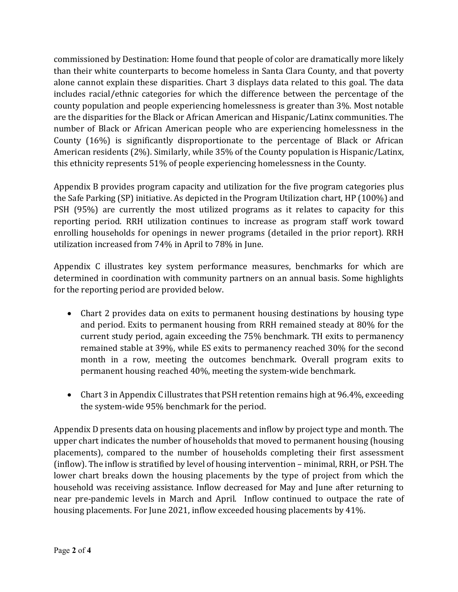commissioned by Destination: Home found that people of color are dramatically more likely than their white counterparts to become homeless in Santa Clara County, and that poverty alone cannot explain these disparities. Chart 3 displays data related to this goal. The data includes racial/ethnic categories for which the difference between the percentage of the county population and people experiencing homelessness is greater than 3%. Most notable are the disparities for the Black or African American and Hispanic/Latinx communities. The number of Black or African American people who are experiencing homelessness in the County (16%) is significantly disproportionate to the percentage of Black or African American residents (2%). Similarly, while 35% of the County population is Hispanic/Latinx, this ethnicity represents 51% of people experiencing homelessness in the County.

Appendix B provides program capacity and utilization for the five program categories plus the Safe Parking (SP) initiative. As depicted in the Program Utilization chart, HP (100%) and PSH (95%) are currently the most utilized programs as it relates to capacity for this reporting period. RRH utilization continues to increase as program staff work toward enrolling households for openings in newer programs (detailed in the prior report). RRH utilization increased from 74% in April to 78% in June.

Appendix C illustrates key system performance measures, benchmarks for which are determined in coordination with community partners on an annual basis. Some highlights for the reporting period are provided below.

- Chart 2 provides data on exits to permanent housing destinations by housing type and period. Exits to permanent housing from RRH remained steady at 80% for the current study period, again exceeding the 75% benchmark. TH exits to permanency remained stable at 39%, while ES exits to permanency reached 30% for the second month in a row, meeting the outcomes benchmark. Overall program exits to permanent housing reached 40%, meeting the system-wide benchmark.
- Chart 3 in Appendix C illustrates that PSH retention remains high at 96.4%, exceeding the system-wide 95% benchmark for the period.

Appendix D presents data on housing placements and inflow by project type and month. The upper chart indicates the number of households that moved to permanent housing (housing placements), compared to the number of households completing their first assessment (inflow). The inflow is stratified by level of housing intervention – minimal, RRH, or PSH. The lower chart breaks down the housing placements by the type of project from which the household was receiving assistance. Inflow decreased for May and June after returning to near pre-pandemic levels in March and April. Inflow continued to outpace the rate of housing placements. For June 2021, inflow exceeded housing placements by 41%.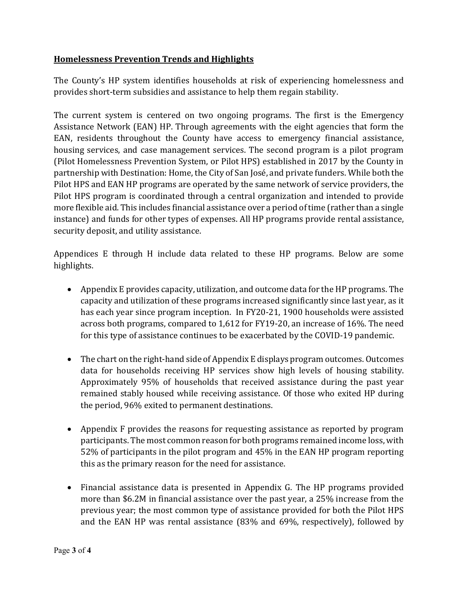#### **Homelessness Prevention Trends and Highlights**

The County's HP system identifies households at risk of experiencing homelessness and provides short-term subsidies and assistance to help them regain stability.

The current system is centered on two ongoing programs. The first is the Emergency Assistance Network (EAN) HP. Through agreements with the eight agencies that form the EAN, residents throughout the County have access to emergency financial assistance, housing services, and case management services. The second program is a pilot program (Pilot Homelessness Prevention System, or Pilot HPS) established in 2017 by the County in partnership with Destination: Home, the City of San José, and private funders. While both the Pilot HPS and EAN HP programs are operated by the same network of service providers, the Pilot HPS program is coordinated through a central organization and intended to provide more flexible aid. This includes financial assistance over a period of time (rather than a single instance) and funds for other types of expenses. All HP programs provide rental assistance, security deposit, and utility assistance.

Appendices E through H include data related to these HP programs. Below are some highlights.

- Appendix E provides capacity, utilization, and outcome data for the HP programs. The capacity and utilization of these programs increased significantly since last year, as it has each year since program inception. In FY20-21, 1900 households were assisted across both programs, compared to 1,612 for FY19-20, an increase of 16%. The need for this type of assistance continues to be exacerbated by the COVID-19 pandemic.
- The chart on the right-hand side of Appendix E displays program outcomes. Outcomes data for households receiving HP services show high levels of housing stability. Approximately 95% of households that received assistance during the past year remained stably housed while receiving assistance. Of those who exited HP during the period, 96% exited to permanent destinations.
- Appendix F provides the reasons for requesting assistance as reported by program participants. The most common reason for both programs remained income loss, with 52% of participants in the pilot program and 45% in the EAN HP program reporting this as the primary reason for the need for assistance.
- Financial assistance data is presented in Appendix G. The HP programs provided more than \$6.2M in financial assistance over the past year, a 25% increase from the previous year; the most common type of assistance provided for both the Pilot HPS and the EAN HP was rental assistance (83% and 69%, respectively), followed by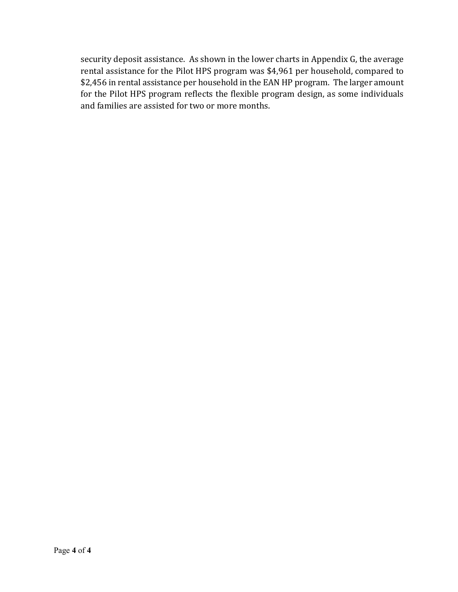security deposit assistance. As shown in the lower charts in Appendix G, the average rental assistance for the Pilot HPS program was \$4,961 per household, compared to \$2,456 in rental assistance per household in the EAN HP program. The larger amount for the Pilot HPS program reflects the flexible program design, as some individuals and families are assisted for two or more months.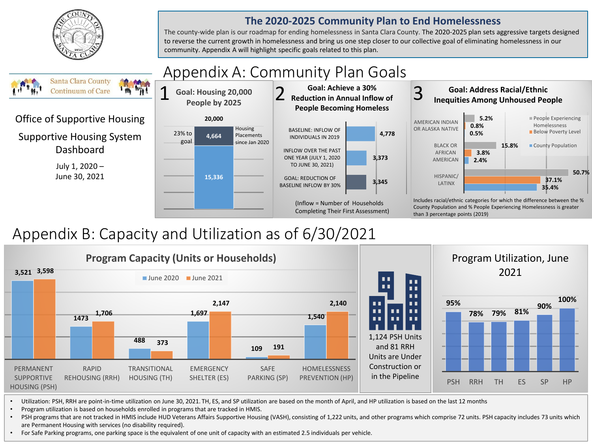

#### **The 2020-2025 Community Plan to End Homelessness**

The county-wide plan is our roadmap for ending homelessness in Santa Clara County. The 2020-2025 plan sets aggressive targets designed to reverse the current growth in homelessness and bring us one step closer to our collective goal of eliminating homelessness in our community. Appendix A will highlight specific goals related to this plan.



# Appendix B: Capacity and Utilization as of 6/30/2021



• Utilization: PSH, RRH are point-in-time utilization on June 30, 2021. TH, ES, and SP utilization are based on the month of April, and HP utilization is based on the last 12 months

• Program utilization is based on households enrolled in programs that are tracked in HMIS.

• PSH programs that are not tracked in HMIS include HUD Veterans Affairs Supportive Housing (VASH), consisting of 1,222 units, and other programs which comprise 72 units. PSH capacity includes 73 units which are Permanent Housing with services (no disability required).

• For Safe Parking programs, one parking space is the equivalent of one unit of capacity with an estimated 2.5 individuals per vehicle.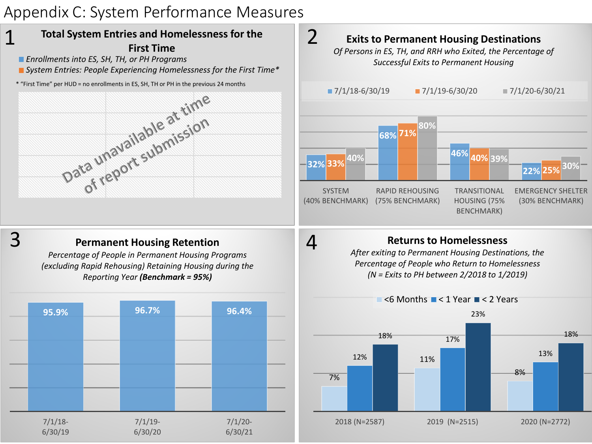# Appendix C: System Performance Measures

6/30/20

6/30/21

6/30/19

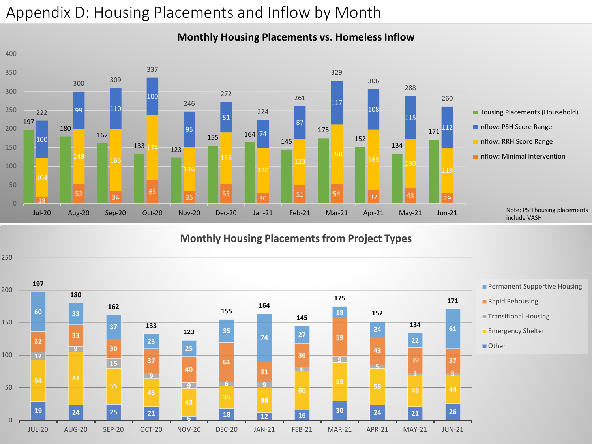# Appendix D: Housing Placements and Inflow by Month



#### **Monthly Housing Placements vs. Homeless Inflow**

**Monthly Housing Placements from Project Types**

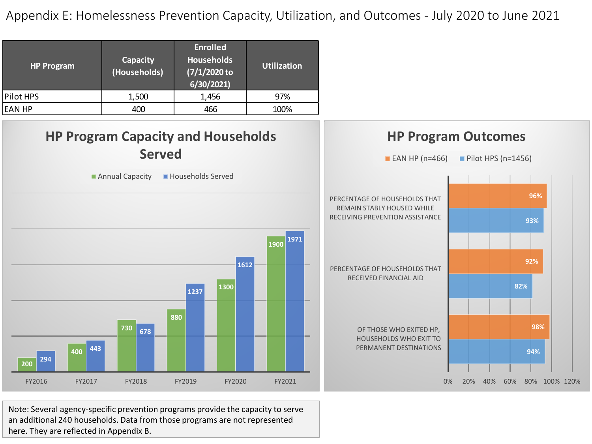Appendix E: Homelessness Prevention Capacity, Utilization, and Outcomes - July 2020 to June 2021

| <b>HP Program</b> | Capacity<br>(Households) | <b>Enrolled</b><br><b>Households</b><br>(7/1/2020 to<br>6/30/2021 | <b>Utilization</b> |
|-------------------|--------------------------|-------------------------------------------------------------------|--------------------|
| Pilot HPS         | 1,500                    | 1,456                                                             | 97%                |
| EAN HP            | 400                      | 466                                                               | 100%               |



Note: Several agency-specific prevention programs provide the capacity to serve an additional 240 households. Data from those programs are not represented here. They are reflected in Appendix B.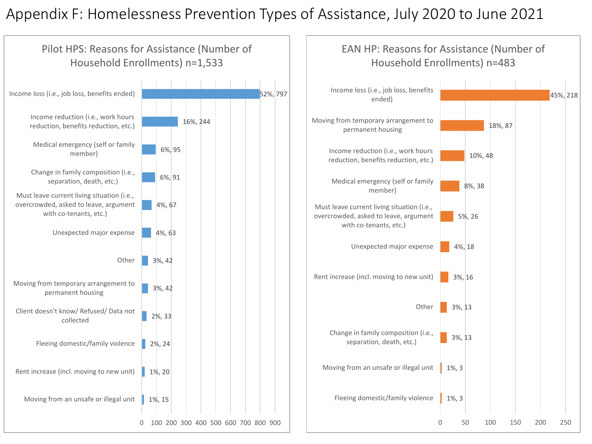### Appendix F: Homelessness Prevention Types of Assistance, July 2020 to June 2021

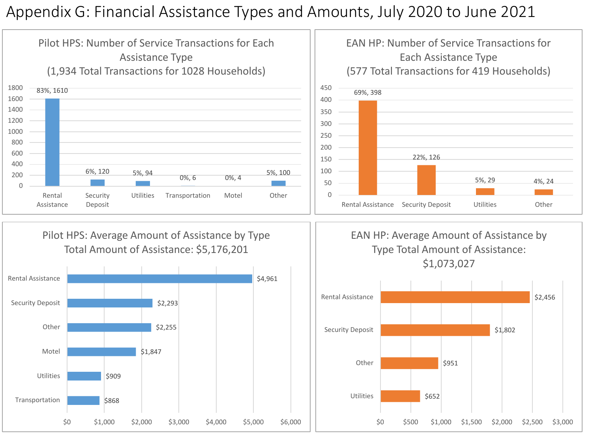### Appendix G: Financial Assistance Types and Amounts, July 2020 to June 2021